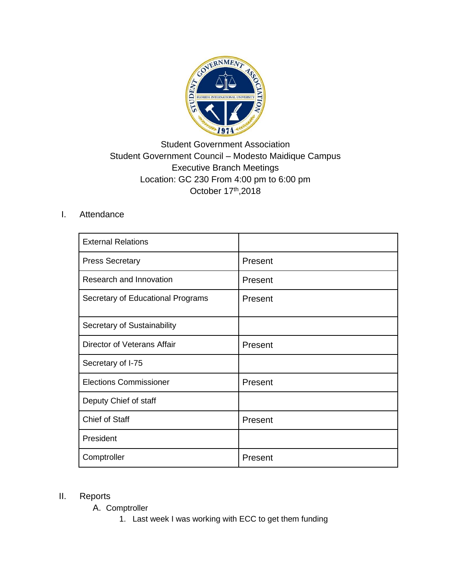

# Student Government Association Student Government Council – Modesto Maidique Campus Executive Branch Meetings Location: GC 230 From 4:00 pm to 6:00 pm October 17<sup>th</sup>,2018

#### I. Attendance

| <b>External Relations</b>         |         |
|-----------------------------------|---------|
| <b>Press Secretary</b>            | Present |
| Research and Innovation           | Present |
| Secretary of Educational Programs | Present |
| Secretary of Sustainability       |         |
| Director of Veterans Affair       | Present |
| Secretary of I-75                 |         |
| <b>Elections Commissioner</b>     | Present |
| Deputy Chief of staff             |         |
| <b>Chief of Staff</b>             | Present |
| President                         |         |
| Comptroller                       | Present |

#### II. Reports

A. Comptroller

1. Last week I was working with ECC to get them funding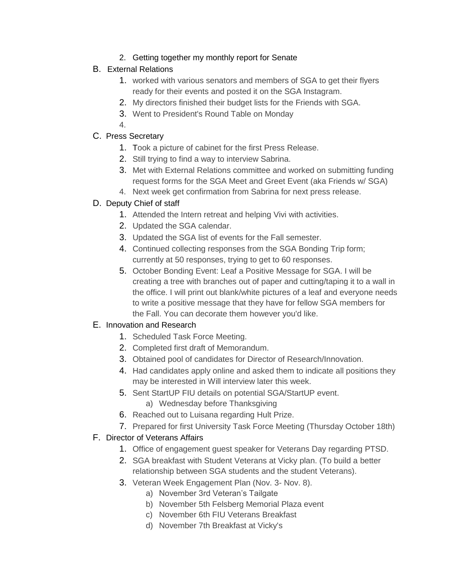2. Getting together my monthly report for Senate

## B. External Relations

- 1. worked with various senators and members of SGA to get their flyers ready for their events and posted it on the SGA Instagram.
- 2. My directors finished their budget lists for the Friends with SGA.
- 3. Went to President's Round Table on Monday
- 4.

## C. Press Secretary

- 1. Took a picture of cabinet for the first Press Release.
- 2. Still trying to find a way to interview Sabrina.
- 3. Met with External Relations committee and worked on submitting funding request forms for the SGA Meet and Greet Event (aka Friends w/ SGA)
- 4. Next week get confirmation from Sabrina for next press release.

# D. Deputy Chief of staff

- 1. Attended the Intern retreat and helping Vivi with activities.
- 2. Updated the SGA calendar.
- 3. Updated the SGA list of events for the Fall semester.
- 4. Continued collecting responses from the SGA Bonding Trip form; currently at 50 responses, trying to get to 60 responses.
- 5. October Bonding Event: Leaf a Positive Message for SGA. I will be creating a tree with branches out of paper and cutting/taping it to a wall in the office. I will print out blank/white pictures of a leaf and everyone needs to write a positive message that they have for fellow SGA members for the Fall. You can decorate them however you'd like.

## E. Innovation and Research

- 1. Scheduled Task Force Meeting.
- 2. Completed first draft of Memorandum.
- 3. Obtained pool of candidates for Director of Research/Innovation.
- 4. Had candidates apply online and asked them to indicate all positions they may be interested in Will interview later this week.
- 5. Sent StartUP FIU details on potential SGA/StartUP event.
	- a) Wednesday before Thanksgiving
- 6. Reached out to Luisana regarding Hult Prize.
- 7. Prepared for first University Task Force Meeting (Thursday October 18th)

## F. Director of Veterans Affairs

- 1. Office of engagement guest speaker for Veterans Day regarding PTSD.
- 2. SGA breakfast with Student Veterans at Vicky plan. (To build a better relationship between SGA students and the student Veterans).
- 3. Veteran Week Engagement Plan (Nov. 3- Nov. 8).
	- a) November 3rd Veteran's Tailgate
	- b) November 5th Felsberg Memorial Plaza event
	- c) November 6th FIU Veterans Breakfast
	- d) November 7th Breakfast at Vicky's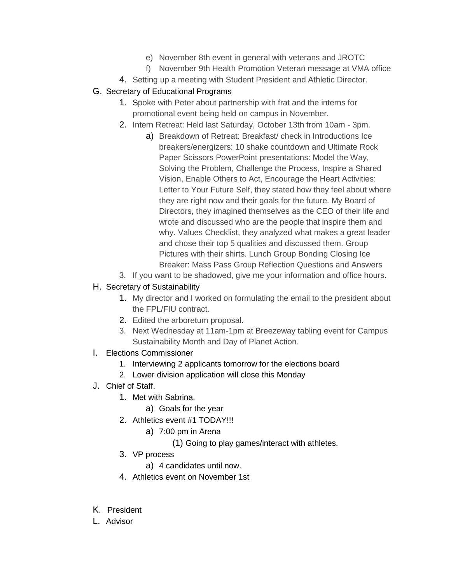- e) November 8th event in general with veterans and JROTC
- f) November 9th Health Promotion Veteran message at VMA office
- 4. Setting up a meeting with Student President and Athletic Director.

#### G. Secretary of Educational Programs

- 1. Spoke with Peter about partnership with frat and the interns for promotional event being held on campus in November.
- 2. Intern Retreat: Held last Saturday, October 13th from 10am 3pm.
	- a) Breakdown of Retreat: Breakfast/ check in Introductions Ice breakers/energizers: 10 shake countdown and Ultimate Rock Paper Scissors PowerPoint presentations: Model the Way, Solving the Problem, Challenge the Process, Inspire a Shared Vision, Enable Others to Act, Encourage the Heart Activities: Letter to Your Future Self, they stated how they feel about where they are right now and their goals for the future. My Board of Directors, they imagined themselves as the CEO of their life and wrote and discussed who are the people that inspire them and why. Values Checklist, they analyzed what makes a great leader and chose their top 5 qualities and discussed them. Group Pictures with their shirts. Lunch Group Bonding Closing Ice Breaker: Mass Pass Group Reflection Questions and Answers
- 3. If you want to be shadowed, give me your information and office hours.

### H. Secretary of Sustainability

- 1. My director and I worked on formulating the email to the president about the FPL/FIU contract.
- 2. Edited the arboretum proposal.
- 3. Next Wednesday at 11am-1pm at Breezeway tabling event for Campus Sustainability Month and Day of Planet Action.
- I. Elections Commissioner
	- 1. Interviewing 2 applicants tomorrow for the elections board
	- 2. Lower division application will close this Monday
- J. Chief of Staff.
	- 1. Met with Sabrina.
		- a) Goals for the year
	- 2. Athletics event #1 TODAY!!!
		- a) 7:00 pm in Arena
			- (1) Going to play games/interact with athletes.
	- 3. VP process
		- a) 4 candidates until now.
	- 4. Athletics event on November 1st
- K. President
- L. Advisor